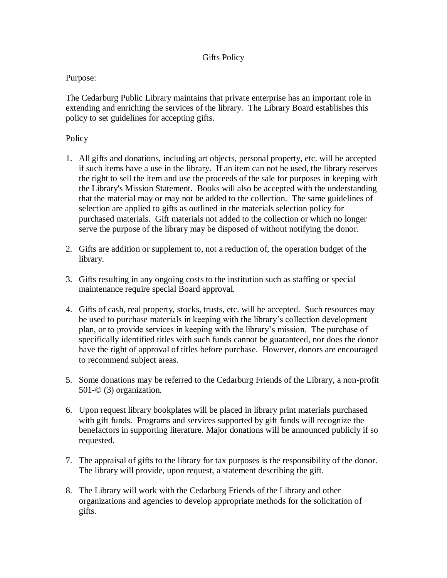## Gifts Policy

## Purpose:

The Cedarburg Public Library maintains that private enterprise has an important role in extending and enriching the services of the library. The Library Board establishes this policy to set guidelines for accepting gifts.

## Policy

- 1. All gifts and donations, including art objects, personal property, etc. will be accepted if such items have a use in the library. If an item can not be used, the library reserves the right to sell the item and use the proceeds of the sale for purposes in keeping with the Library's Mission Statement. Books will also be accepted with the understanding that the material may or may not be added to the collection. The same guidelines of selection are applied to gifts as outlined in the materials selection policy for purchased materials. Gift materials not added to the collection or which no longer serve the purpose of the library may be disposed of without notifying the donor.
- 2. Gifts are addition or supplement to, not a reduction of, the operation budget of the library.
- 3. Gifts resulting in any ongoing costs to the institution such as staffing or special maintenance require special Board approval.
- 4. Gifts of cash, real property, stocks, trusts, etc. will be accepted. Such resources may be used to purchase materials in keeping with the library's collection development plan, or to provide services in keeping with the library's mission. The purchase of specifically identified titles with such funds cannot be guaranteed, nor does the donor have the right of approval of titles before purchase. However, donors are encouraged to recommend subject areas.
- 5. Some donations may be referred to the Cedarburg Friends of the Library, a non-profit 501-© (3) organization.
- 6. Upon request library bookplates will be placed in library print materials purchased with gift funds. Programs and services supported by gift funds will recognize the benefactors in supporting literature. Major donations will be announced publicly if so requested.
- 7. The appraisal of gifts to the library for tax purposes is the responsibility of the donor. The library will provide, upon request, a statement describing the gift.
- 8. The Library will work with the Cedarburg Friends of the Library and other organizations and agencies to develop appropriate methods for the solicitation of gifts.